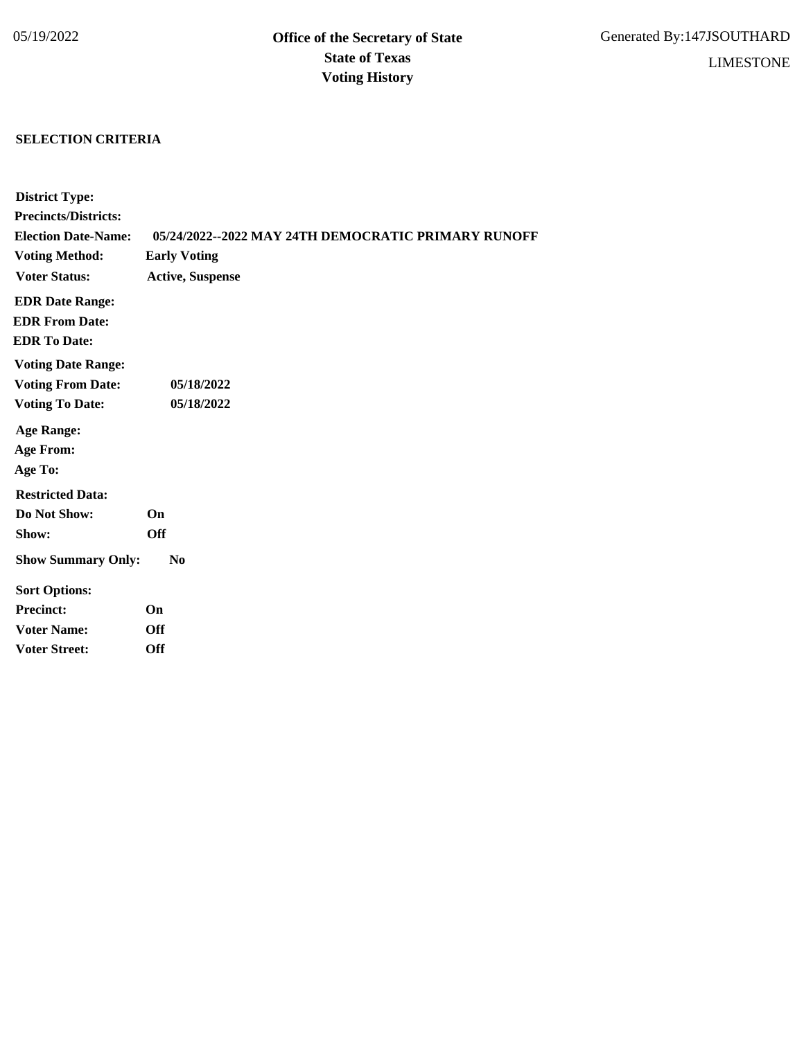## **SELECTION CRITERIA**

| <b>District Type:</b>       |                                                     |
|-----------------------------|-----------------------------------------------------|
| <b>Precincts/Districts:</b> |                                                     |
| <b>Election Date-Name:</b>  | 05/24/2022--2022 MAY 24TH DEMOCRATIC PRIMARY RUNOFF |
| <b>Voting Method:</b>       | <b>Early Voting</b>                                 |
| <b>Voter Status:</b>        | <b>Active, Suspense</b>                             |
| <b>EDR Date Range:</b>      |                                                     |
| <b>EDR From Date:</b>       |                                                     |
| <b>EDR</b> To Date:         |                                                     |
| <b>Voting Date Range:</b>   |                                                     |
| <b>Voting From Date:</b>    | 05/18/2022                                          |
| <b>Voting To Date:</b>      | 05/18/2022                                          |
| <b>Age Range:</b>           |                                                     |
| <b>Age From:</b>            |                                                     |
| Age To:                     |                                                     |
| <b>Restricted Data:</b>     |                                                     |
| Do Not Show:                | On                                                  |
| Show:                       | <b>Off</b>                                          |
| <b>Show Summary Only:</b>   | N <sub>0</sub>                                      |
| <b>Sort Options:</b>        |                                                     |
| <b>Precinct:</b>            | On                                                  |
| <b>Voter Name:</b>          | <b>Off</b>                                          |
| <b>Voter Street:</b>        | <b>Off</b>                                          |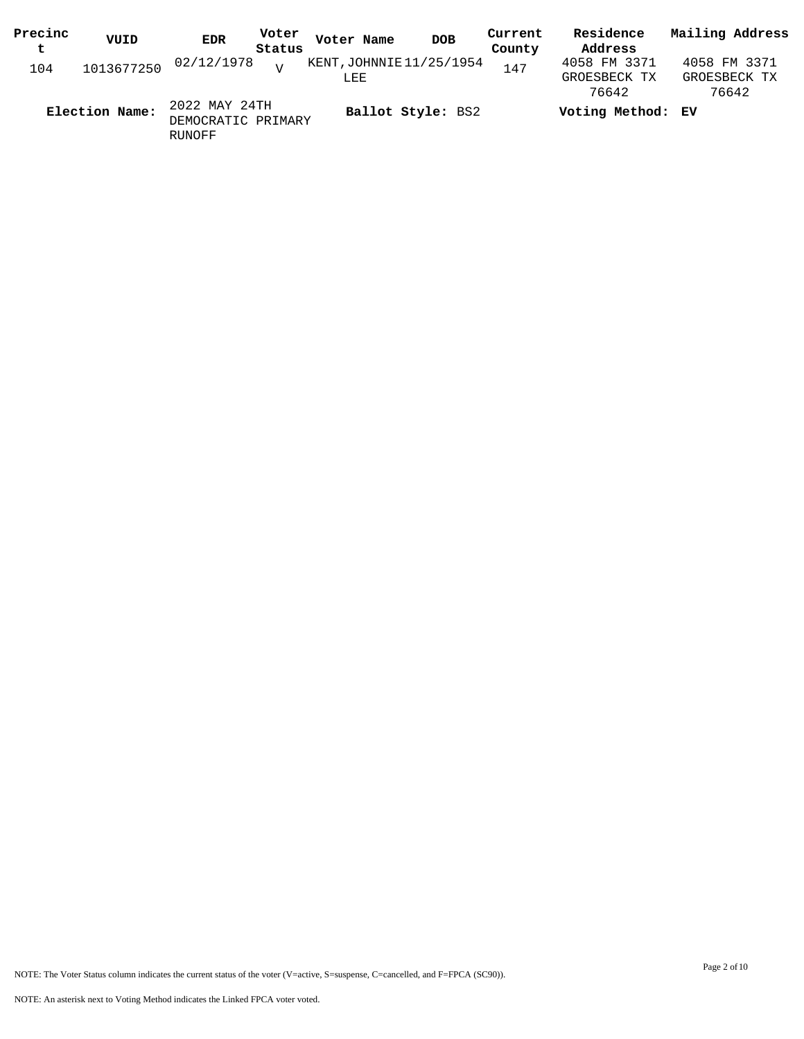| Precinc | VUID           | EDR                                 | Voter          | Voter Name                      | <b>DOB</b> | Current | Residence                    | Mailing Address              |
|---------|----------------|-------------------------------------|----------------|---------------------------------|------------|---------|------------------------------|------------------------------|
| t.      |                |                                     | Status         |                                 |            | County  | Address                      |                              |
| 104     | 1013677250     | 02/12/1978                          | $\overline{z}$ | KENT, JOHNNIE 11/25/1954<br>LEE |            | 147     | 4058 FM 3371<br>GROESBECK TX | 4058 FM 3371<br>GROESBECK TX |
|         |                |                                     |                |                                 |            |         | 76642                        | 76642                        |
|         | Election Name: | 2022 MAY 24TH<br>DEMOCRATIC PRIMARY |                | Ballot Style: BS2               |            |         | Voting Method: EV            |                              |

RUNOFF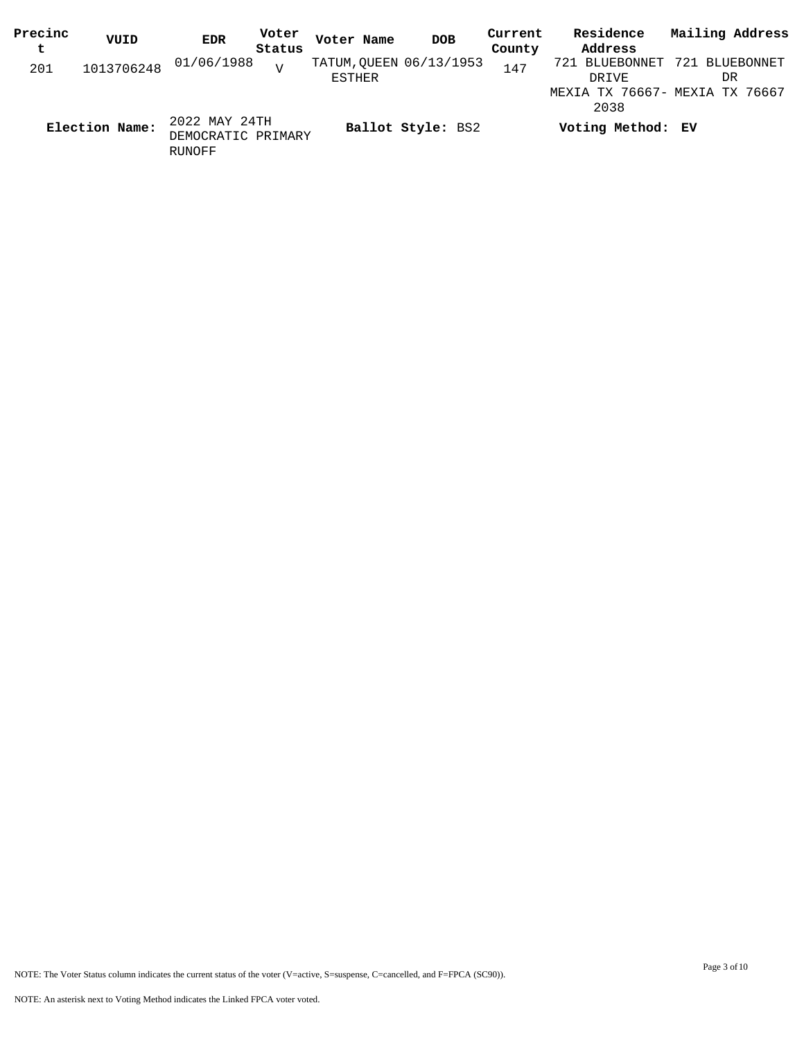| Precinc | VUID           | <b>EDR</b>                                    | Voter  | Voter Name | <b>DOB</b>              | Current | Residence                      | Mailing Address |
|---------|----------------|-----------------------------------------------|--------|------------|-------------------------|---------|--------------------------------|-----------------|
| t       |                |                                               | Status |            |                         | County  | Address                        |                 |
| 201     | 1013706248     | 01/06/1988                                    | T      |            | TATUM, OUEEN 06/13/1953 | 147     | 721 BLUEBONNET                 | 721 BLUEBONNET  |
|         |                |                                               |        | ESTHER     |                         |         | DRIVE                          | DR              |
|         |                |                                               |        |            |                         |         | MEXIA TX 76667- MEXIA TX 76667 |                 |
|         |                |                                               |        |            |                         |         | 2038                           |                 |
|         | Election Name: | 2022 MAY 24TH<br>DEMOCRATIC PRIMARY<br>RUNOFF |        |            | Ballot Style: BS2       |         | Voting Method: EV              |                 |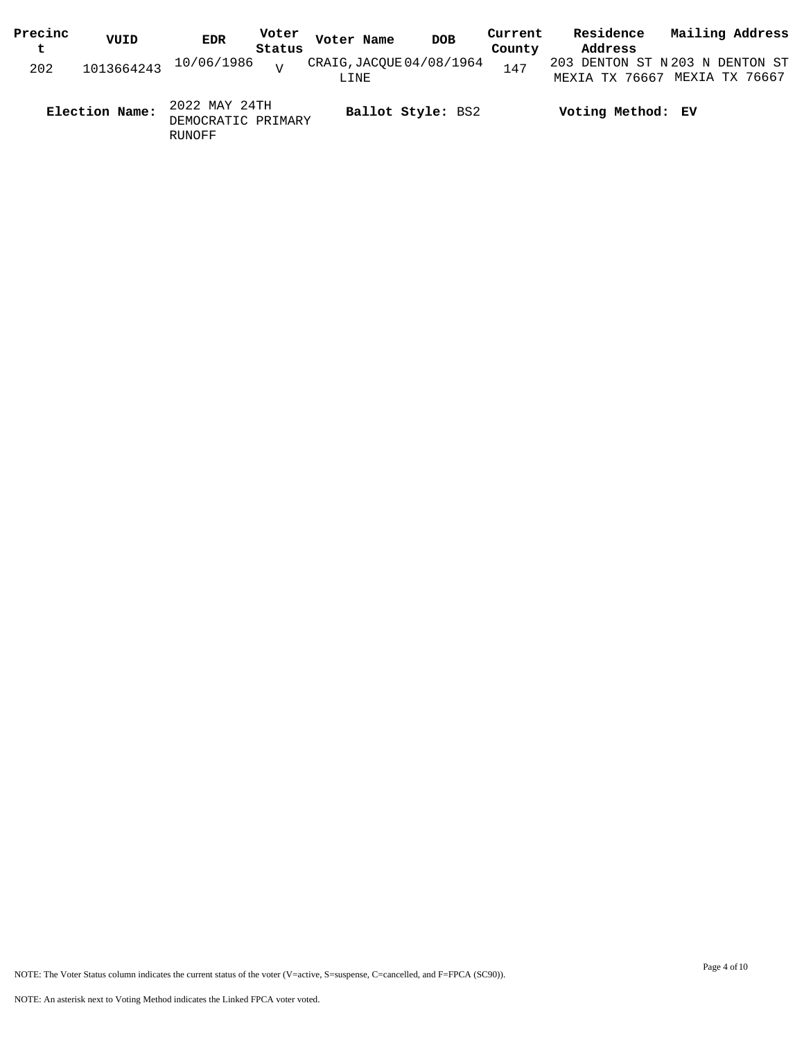| Precinc<br>t | VUID           | <b>EDR</b>                                    | Voter<br>Status | Voter Name                       | <b>DOB</b>        | Current<br>County | Residence<br>Address                              | Mailing Address |
|--------------|----------------|-----------------------------------------------|-----------------|----------------------------------|-------------------|-------------------|---------------------------------------------------|-----------------|
| 202          | 1013664243     | 10/06/1986                                    | $\tau$          | CRAIG, JACQUE 04/08/1964<br>LINE |                   | 147               | 203 DENTON ST N 203 N DENTON ST<br>MEXIA TX 76667 | MEXTA TX 76667  |
|              | Election Name: | 2022 MAY 24TH<br>DEMOCRATIC PRIMARY<br>RUNOFF |                 |                                  | Ballot Style: BS2 |                   | Voting Method: EV                                 |                 |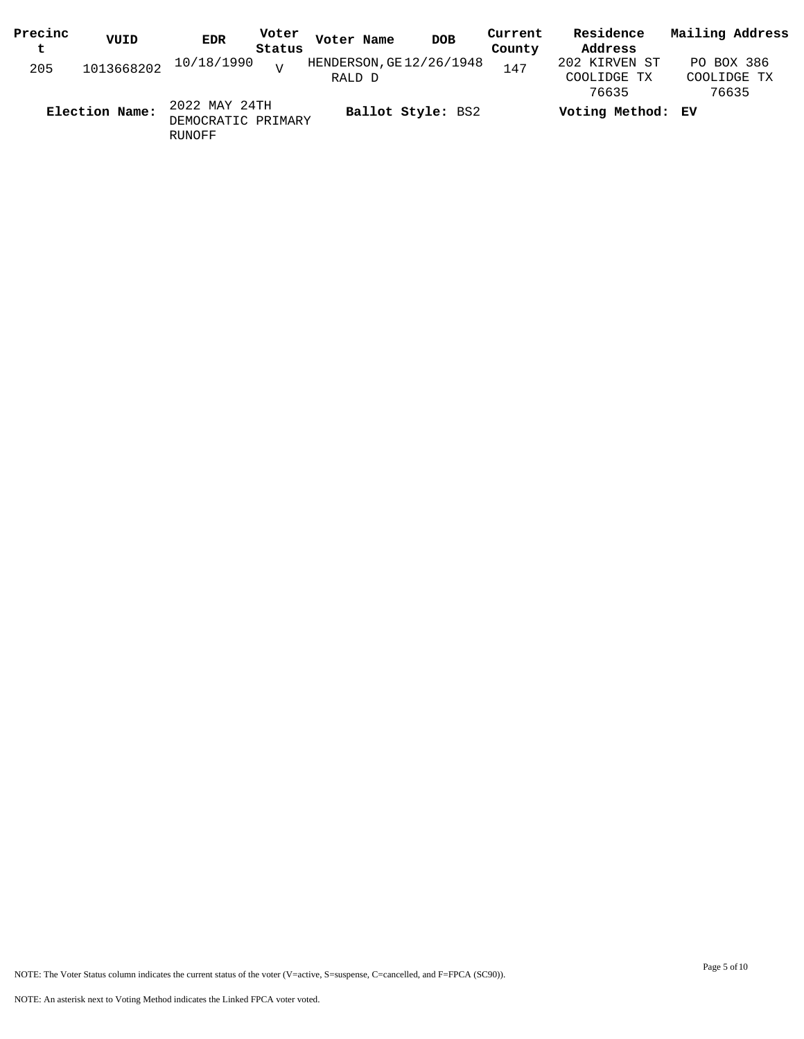| Precinc | VUID           | <b>EDR</b>            | Voter          | Voter Name               | <b>DOB</b> | Current | Residence         | Mailing Address |
|---------|----------------|-----------------------|----------------|--------------------------|------------|---------|-------------------|-----------------|
| t       |                |                       | Status         |                          |            | County  | Address           |                 |
| 205     |                | 1013668202 10/18/1990 | $\overline{z}$ | HENDERSON, GE 12/26/1948 |            | 147     | 202 KIRVEN ST     | PO BOX 386      |
|         |                |                       |                | RALD D                   |            |         | COOLIDGE TX       | COOLIDGE TX     |
|         |                |                       |                |                          |            |         | 76635             | 76635           |
|         | Election Name: | 2022 MAY 24TH         |                | Ballot Style: BS2        |            |         | Voting Method: EV |                 |
|         |                | DEMOCRATIC PRIMARY    |                |                          |            |         |                   |                 |

RUNOFF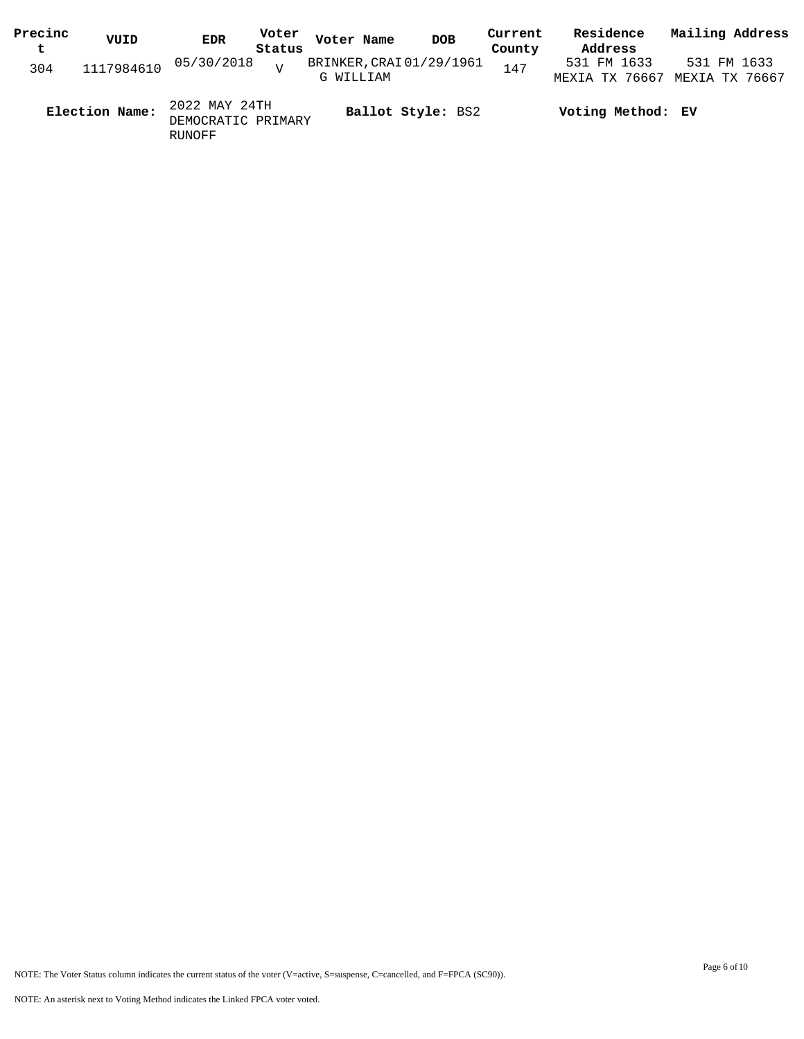| Precinc | VUID           | <b>EDR</b>                                    | Voter  | Voter Name               | <b>DOB</b> | Current | Residence                     | Mailing Address |  |
|---------|----------------|-----------------------------------------------|--------|--------------------------|------------|---------|-------------------------------|-----------------|--|
| t       |                |                                               | Status |                          |            | County  | Address                       |                 |  |
| 304     | 1117984610     | 05/30/2018                                    | $\tau$ | BRINKER, CRAI 01/29/1961 |            | 147     | 531 FM 1633                   | 531 FM 1633     |  |
|         |                |                                               |        | G WILLIAM                |            |         | MEXIA TX 76667 MEXIA TX 76667 |                 |  |
|         | Election Name: | 2022 MAY 24TH<br>DEMOCRATIC PRIMARY<br>RUNOFF |        | Ballot Style: BS2        |            |         | Voting Method: EV             |                 |  |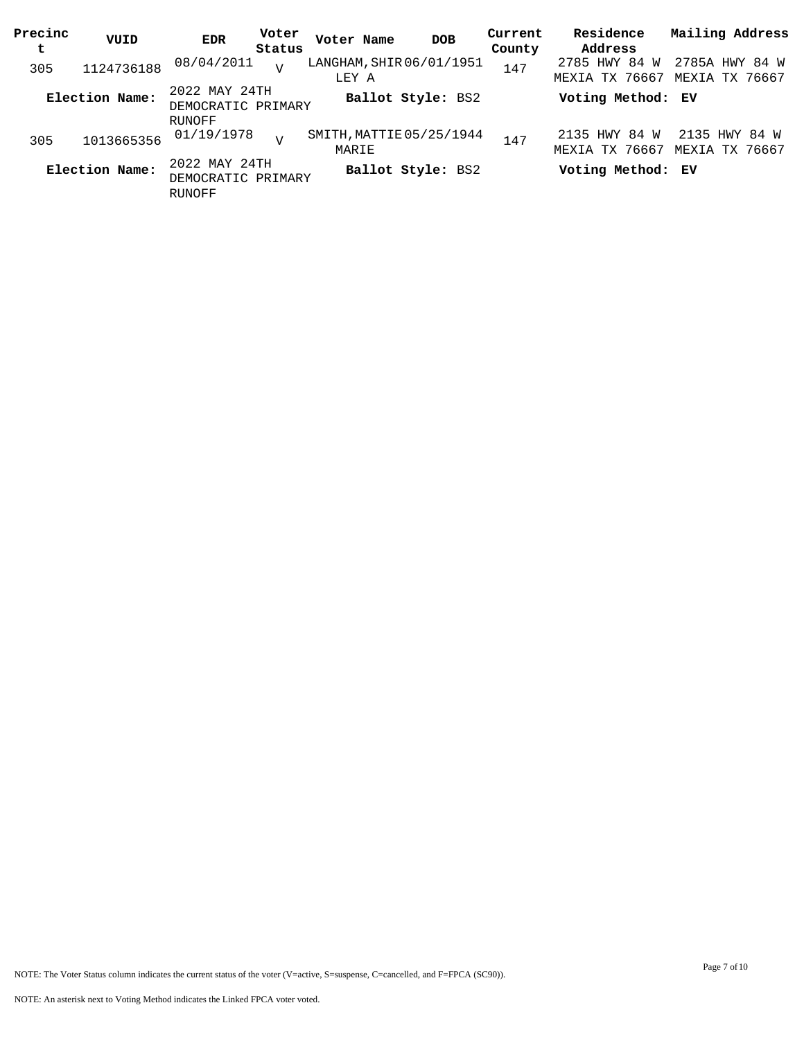| Precinc<br>t | VUID           | <b>EDR</b>                                           | Voter<br>Status | Voter Name                        | <b>DOB</b>        | Current<br>County | Residence<br>Address            | Mailing Address                 |
|--------------|----------------|------------------------------------------------------|-----------------|-----------------------------------|-------------------|-------------------|---------------------------------|---------------------------------|
|              |                | 08/04/2011                                           |                 | LANGHAM, SHIR 06/01/1951          |                   |                   | 2785 HWY 84 W                   | 2785A HWY 84 W                  |
| 305          | 1124736188     |                                                      | $\overline{U}$  | LEY A                             |                   | 147               | MEXIA TX 76667                  | MEXIA TX 76667                  |
|              | Election Name: | 2022 MAY 24TH<br>DEMOCRATIC PRIMARY                  |                 |                                   | Ballot Style: BS2 |                   | Voting Method: EV               |                                 |
|              |                | RUNOFF                                               |                 |                                   |                   |                   |                                 |                                 |
| 305          | 1013665356     | 01/19/1978                                           | $\tau$          | SMITH, MATTIE 05/25/1944<br>MARIE |                   | 147               | 2135 HWY 84 W<br>MEXIA TX 76667 | 2135 HWY 84 W<br>MEXIA TX 76667 |
|              | Election Name: | 2022 MAY 24TH<br>DEMOCRATIC PRIMARY<br><b>RUNOFF</b> |                 |                                   | Ballot Style: BS2 |                   | Voting Method: EV               |                                 |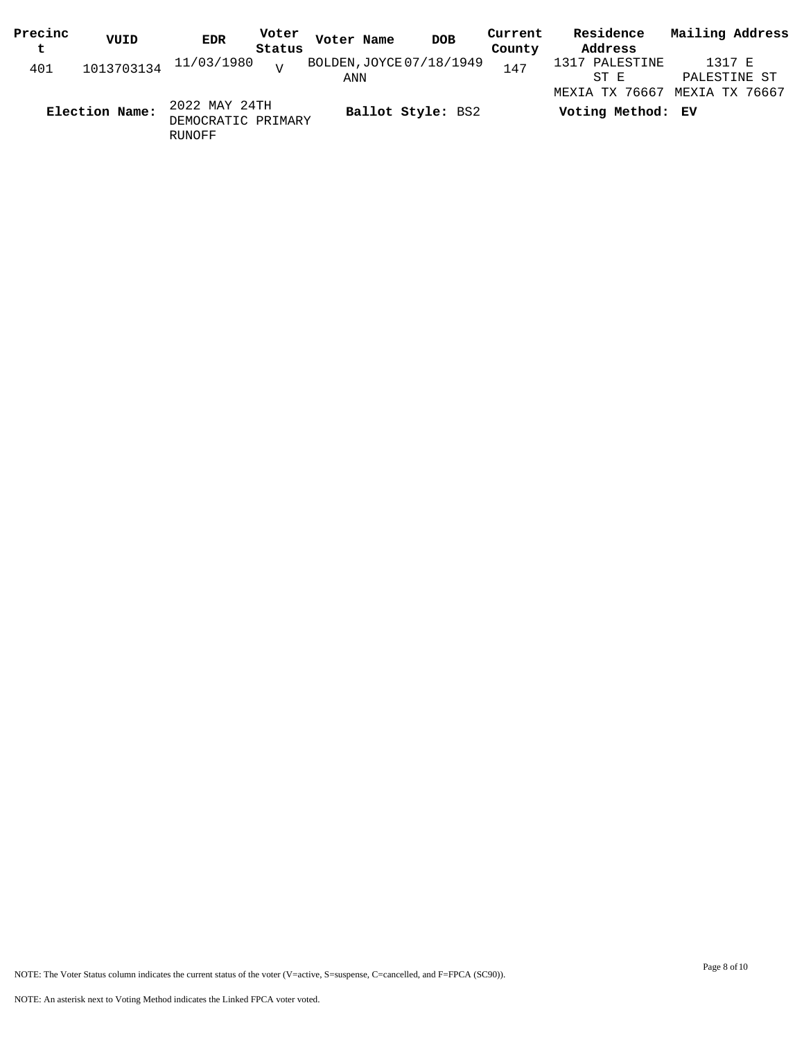| Precinc | VUID           | <b>EDR</b>                                    | Voter  | Voter Name | <b>DOB</b>               | Current | Residence         | Mailing Address |  |
|---------|----------------|-----------------------------------------------|--------|------------|--------------------------|---------|-------------------|-----------------|--|
| t       |                |                                               | Status |            |                          | County  | Address           |                 |  |
| 401     | 1013703134     | 11/03/1980                                    | $\tau$ |            | BOLDEN, JOYCE 07/18/1949 | 147     | 1317 PALESTINE    | 1317 E          |  |
|         |                |                                               |        | ANN        |                          |         | ST E              | PALESTINE ST    |  |
|         |                |                                               |        |            |                          |         | MEXIA TX 76667    | MEXIA TX 76667  |  |
|         | Election Name: | 2022 MAY 24TH<br>DEMOCRATIC PRIMARY<br>RUNOFF |        |            | Ballot Style: BS2        |         | Voting Method: EV |                 |  |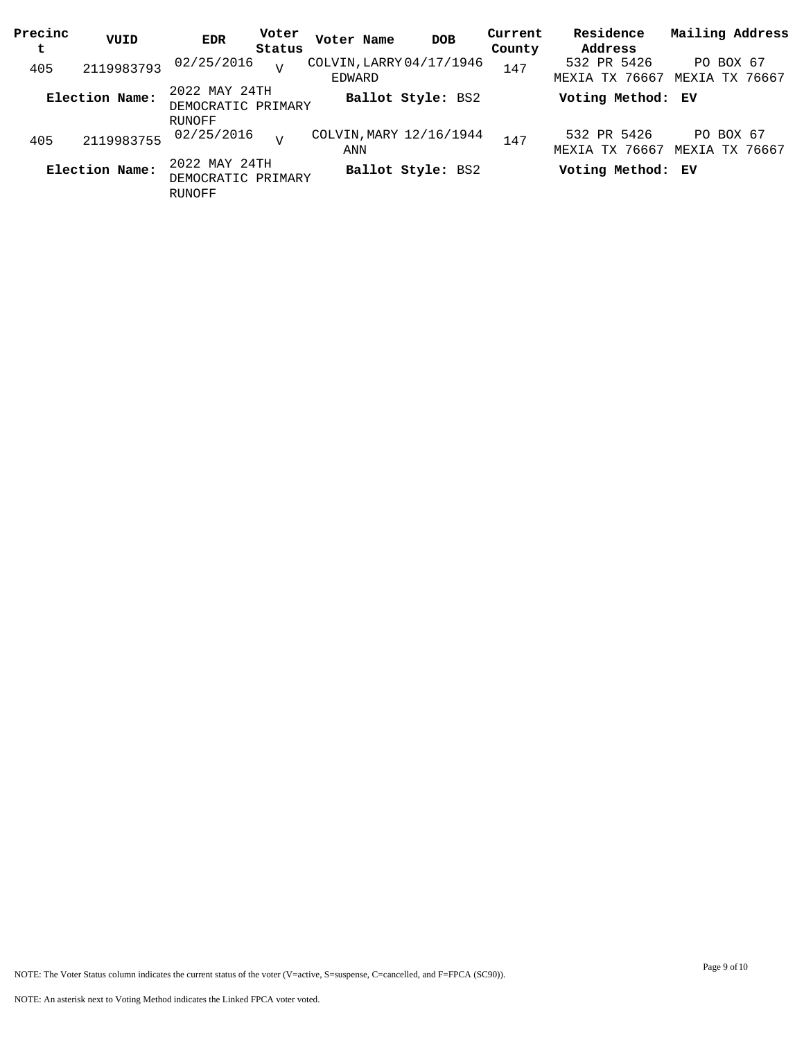| Precinc<br>t | VUID           | EDR                                                  | Voter<br>Status | Voter Name                         | <b>DOB</b>        | Current<br>County | Residence<br>Address          | Mailing Address             |
|--------------|----------------|------------------------------------------------------|-----------------|------------------------------------|-------------------|-------------------|-------------------------------|-----------------------------|
| 405          | 2119983793     | 02/25/2016                                           | $\overline{U}$  | COLVIN, LARRY 04/17/1946<br>EDWARD |                   | 147               | 532 PR 5426<br>MEXIA TX 76667 | PO BOX 67<br>MEXIA TX 76667 |
|              | Election Name: | 2022 MAY 24TH<br>DEMOCRATIC PRIMARY                  |                 |                                    | Ballot Style: BS2 |                   | Voting Method: EV             |                             |
| 405          | 2119983755     | <b>RUNOFF</b><br>02/25/2016                          | T               | COLVIN, MARY 12/16/1944<br>ANN     |                   | 147               | 532 PR 5426<br>MEXIA TX 76667 | PO BOX 67<br>MEXIA TX 76667 |
|              | Election Name: | 2022 MAY 24TH<br>DEMOCRATIC PRIMARY<br><b>RUNOFF</b> |                 |                                    | Ballot Style: BS2 |                   | Voting Method: EV             |                             |